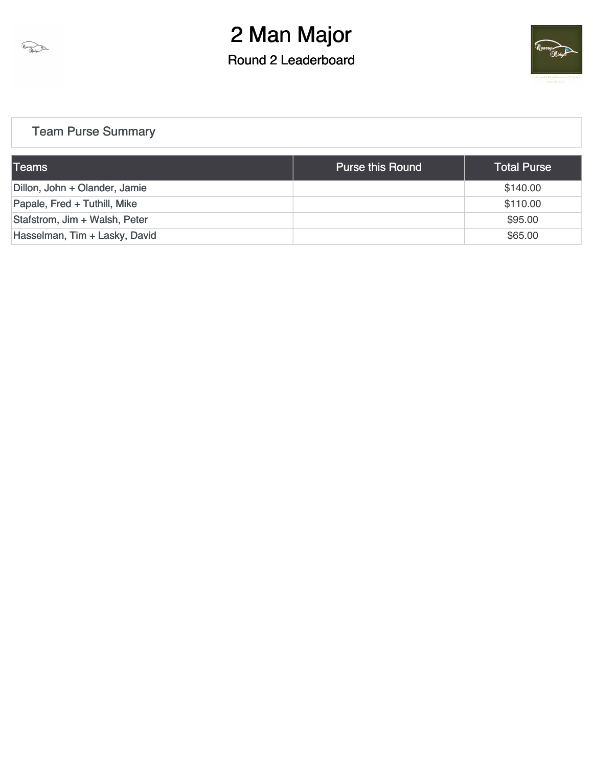

Round 2 Leaderboard



#### [Team Purse Summary](https://static.golfgenius.com/v2tournaments/team_purse?league_id=8468358998632971130&round_id=8471398434849438697)

| <b>Teams</b>                  | <b>Purse this Round</b> | <b>Total Purse</b> |
|-------------------------------|-------------------------|--------------------|
| Dillon, John + Olander, Jamie |                         | \$140.00           |
| Papale, Fred + Tuthill, Mike  |                         | \$110.00           |
| Stafstrom, Jim + Walsh, Peter |                         | \$95.00            |
| Hasselman, Tim + Lasky, David |                         | \$65.00            |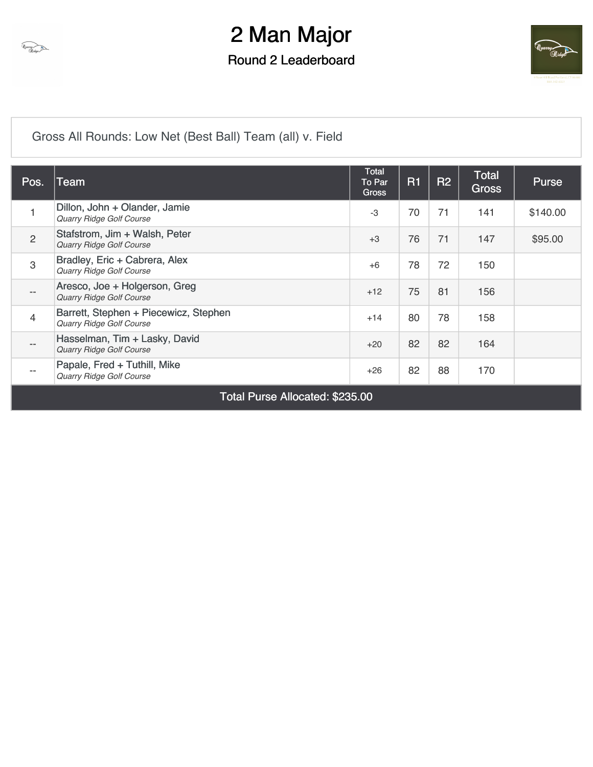

#### Round 2 Leaderboard



[Gross All Rounds: Low Net \(Best Ball\) Team \(all\) v. Field](https://static.golfgenius.com/v2tournaments/8485548231080557443?called_from=&round_index=2)

| Pos.                                  | Team                                                              | <b>Total</b><br>To Par<br><b>Gross</b> | <b>R1</b> | <b>R2</b> | <b>Total</b><br>Gross | <b>Purse</b> |
|---------------------------------------|-------------------------------------------------------------------|----------------------------------------|-----------|-----------|-----------------------|--------------|
| 1                                     | Dillon, John + Olander, Jamie<br><b>Quarry Ridge Golf Course</b>  | $-3$                                   | 70        | 71        | 141                   | \$140.00     |
| $\overline{2}$                        | Stafstrom, Jim + Walsh, Peter<br><b>Quarry Ridge Golf Course</b>  | $+3$                                   | 76        | 71        | 147                   | \$95.00      |
| $\ensuremath{\mathsf{3}}$             | Bradley, Eric + Cabrera, Alex<br><b>Quarry Ridge Golf Course</b>  | $+6$                                   | 78        | 72        | 150                   |              |
| $\qquad \qquad -$                     | Aresco, Joe + Holgerson, Greg<br><b>Quarry Ridge Golf Course</b>  | $+12$                                  | 75        | 81        | 156                   |              |
| $\overline{4}$                        | Barrett, Stephen + Piecewicz, Stephen<br>Quarry Ridge Golf Course | $+14$                                  | 80        | 78        | 158                   |              |
| $\qquad \qquad -$                     | Hasselman, Tim + Lasky, David<br><b>Quarry Ridge Golf Course</b>  | $+20$                                  | 82        | 82        | 164                   |              |
| $\hspace{0.05cm}$ – $\hspace{0.05cm}$ | Papale, Fred + Tuthill, Mike<br><b>Quarry Ridge Golf Course</b>   | $+26$                                  | 82        | 88        | 170                   |              |
|                                       | ----                                                              |                                        |           |           |                       |              |

Total Purse Allocated: \$235.00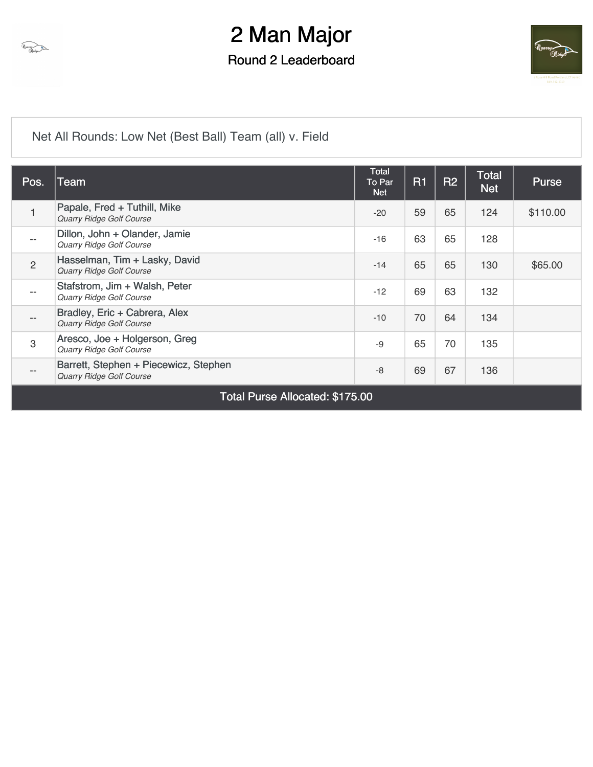

Round 2 Leaderboard



[Net All Rounds: Low Net \(Best Ball\) Team \(all\) v. Field](https://static.golfgenius.com/v2tournaments/8485548245710289796?called_from=&round_index=2)

| Pos.                     | <b>Team</b>                                                       | Total<br>To Par<br><b>Net</b> | R <sub>1</sub> | <b>R2</b> | <b>Total</b><br><b>Net</b> | <b>Purse</b> |  |  |  |  |  |  |  |
|--------------------------|-------------------------------------------------------------------|-------------------------------|----------------|-----------|----------------------------|--------------|--|--|--|--|--|--|--|
| 1                        | Papale, Fred + Tuthill, Mike<br>Quarry Ridge Golf Course          | $-20$                         | 59             | 65        | 124                        | \$110.00     |  |  |  |  |  |  |  |
| $- -$                    | Dillon, John + Olander, Jamie<br>Quarry Ridge Golf Course         | $-16$                         | 63             | 65        | 128                        |              |  |  |  |  |  |  |  |
| $\overline{2}$           | Hasselman, Tim + Lasky, David<br>Quarry Ridge Golf Course         | $-14$                         | 65             | 65        | 130                        | \$65.00      |  |  |  |  |  |  |  |
| $\overline{\phantom{m}}$ | Stafstrom, Jim + Walsh, Peter<br>Quarry Ridge Golf Course         | $-12$                         | 69             | 63        | 132                        |              |  |  |  |  |  |  |  |
| $-\,-$                   | Bradley, Eric + Cabrera, Alex<br>Quarry Ridge Golf Course         | $-10$                         | 70             | 64        | 134                        |              |  |  |  |  |  |  |  |
| 3                        | Aresco, Joe + Holgerson, Greg<br>Quarry Ridge Golf Course         | $-9$                          | 65             | 70        | 135                        |              |  |  |  |  |  |  |  |
| $\qquad \qquad -$        | Barrett, Stephen + Piecewicz, Stephen<br>Quarry Ridge Golf Course | $-8$                          | 69             | 67        | 136                        |              |  |  |  |  |  |  |  |
|                          | <b>Total Purse Allocated: \$175.00</b>                            |                               |                |           |                            |              |  |  |  |  |  |  |  |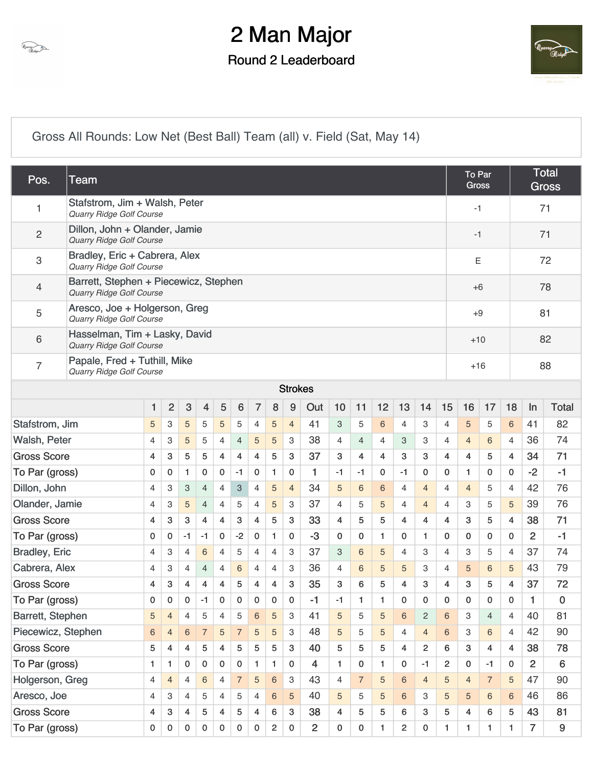

Round 2 Leaderboard



[Gross All Rounds: Low Net \(Best Ball\) Team \(all\) v. Field \(Sat, May 14\)](https://static.golfgenius.com/v2tournaments/8472333788834184044?called_from=&round_index=2)

| Pos.                                                                                                         | <b>Team</b>                                                              |                |                |                |                         |                |                |                |                         |                |                |                |                |                |                |                |                | <b>To Par</b><br><b>Gross</b> |                |                | <b>Total</b><br><b>Gross</b> |                |  |  |
|--------------------------------------------------------------------------------------------------------------|--------------------------------------------------------------------------|----------------|----------------|----------------|-------------------------|----------------|----------------|----------------|-------------------------|----------------|----------------|----------------|----------------|----------------|----------------|----------------|----------------|-------------------------------|----------------|----------------|------------------------------|----------------|--|--|
| 1                                                                                                            | Stafstrom, Jim + Walsh, Peter<br>Quarry Ridge Golf Course                |                |                |                |                         |                |                |                |                         |                |                |                |                |                |                |                |                | $-1$                          |                |                |                              | 71             |  |  |
| $\overline{2}$                                                                                               | Dillon, John + Olander, Jamie<br>Quarry Ridge Golf Course                |                |                |                |                         |                |                |                |                         |                |                |                |                |                |                |                |                | $-1$                          |                |                | 71                           |                |  |  |
| 3                                                                                                            | Bradley, Eric + Cabrera, Alex<br>Quarry Ridge Golf Course                |                |                |                |                         |                |                |                |                         |                |                |                |                |                |                |                |                | Ε                             |                |                | 72                           |                |  |  |
| 4                                                                                                            | Barrett, Stephen + Piecewicz, Stephen<br><b>Quarry Ridge Golf Course</b> |                |                |                |                         |                |                |                |                         |                |                |                |                |                |                |                | $+6$           |                               |                | 78             |                              |                |  |  |
| 5                                                                                                            | Aresco, Joe + Holgerson, Greg<br>Quarry Ridge Golf Course                |                |                |                |                         |                |                |                |                         |                |                |                |                |                |                |                | $+9$           |                               |                | 81             |                              |                |  |  |
| 6                                                                                                            | Hasselman, Tim + Lasky, David<br><b>Quarry Ridge Golf Course</b>         |                |                |                |                         |                |                |                |                         |                |                |                |                |                |                |                | $+10$          |                               |                | 82             |                              |                |  |  |
| $\overline{7}$                                                                                               | Papale, Fred + Tuthill, Mike<br>Quarry Ridge Golf Course                 |                |                |                |                         |                |                |                |                         |                |                |                |                |                |                | $+16$          |                |                               |                | 88             |                              |                |  |  |
| <b>Strokes</b>                                                                                               |                                                                          |                |                |                |                         |                |                |                |                         |                |                |                |                |                |                |                |                |                               |                |                |                              |                |  |  |
| 3<br>$\overline{2}$<br>5<br>$\overline{7}$<br>9<br>10<br>12<br>13<br>$6\,$<br>8<br>Out<br>11<br>14<br>1<br>4 |                                                                          |                |                |                |                         |                |                |                |                         |                |                | 15             | 16             | 17             | 18             | In             | <b>Total</b>   |                               |                |                |                              |                |  |  |
| Stafstrom, Jim                                                                                               |                                                                          | 5              | 3              | 5              | 5                       | 5              | 5              | $\overline{4}$ | 5                       | $\overline{4}$ | 41             | 3              | 5              | 6              | 4              | 3              | 4              | 5                             | 5              | 6              | 41                           | 82             |  |  |
| Walsh, Peter                                                                                                 |                                                                          | 4              | 3              | 5              | 5                       | $\overline{4}$ | $\overline{4}$ | 5              | 5                       | 3              | 38             | 4              | $\overline{4}$ | 4              | 3              | 3              | 4              | $\overline{4}$                | 6              | $\overline{4}$ | 36                           | 74             |  |  |
| <b>Gross Score</b>                                                                                           |                                                                          | $\overline{4}$ | 3              | 5              | 5                       | 4              | 4              | $\overline{4}$ | 5                       | 3              | 37             | 3              | 4              | $\overline{4}$ | 3              | 3              | 4              | 4                             | 5              | $\overline{4}$ | 34                           | 71             |  |  |
| To Par (gross)                                                                                               |                                                                          | 0              | 0              | $\mathbf{1}$   | $\bf{0}$                | $\mathbf 0$    | $-1$           | 0              | 1                       | 0              | 1              | $-1$           | -1             | 0              | $-1$           | $\mathbf 0$    | 0              | 1                             | $\mathbf{0}$   | 0              | $-2$                         | $-1$           |  |  |
| Dillon, John                                                                                                 |                                                                          | $\overline{4}$ | 3              | 3              | $\overline{4}$          | 4              | 3              | 4              | 5                       | $\overline{4}$ | 34             | 5              | 6              | 6              | 4              | $\overline{4}$ | 4              | $\overline{4}$                | 5              | 4              | 42                           | 76             |  |  |
| Olander, Jamie                                                                                               |                                                                          | 4              | 3              | 5              | $\overline{4}$          | 4              | 5              | $\overline{4}$ | 5                       | 3              | 37             | 4              | 5              | 5              | 4              | $\overline{4}$ | 4              | З                             | 5              | 5              | 39                           | 76             |  |  |
| <b>Gross Score</b>                                                                                           |                                                                          | $\overline{4}$ | 3              | $\mathbf{3}$   | $\overline{\mathbf{4}}$ | 4              | 3              | 4              | 5                       | 3              | 33             | 4              | 5              | 5              | 4              | 4              | 4              | 3                             | 5              | 4              | 38                           | 71             |  |  |
| To Par (gross)                                                                                               |                                                                          | 0              | 0              | $-1$           | $-1$                    | $\mathbf 0$    | $-2$           | 0              | 1                       | 0              | $-3$           | $\mathbf{0}$   | 0              | 1              | 0              | $\mathbf{1}$   | 0              | 0                             | $\mathbf{0}$   | $\mathbf 0$    | $\overline{2}$               | $-1$           |  |  |
| <b>Bradley, Eric</b>                                                                                         |                                                                          | 4              | 3              | $\overline{4}$ | 6                       | 4              | 5              | $\overline{4}$ | 4                       | 3              | 37             | 3              | 6              | 5              | 4              | 3              | 4              | 3                             | 5              | 4              | 37                           | 74             |  |  |
| Cabrera, Alex                                                                                                |                                                                          | $\overline{4}$ | 3              | $\overline{4}$ | 4                       | 4              | 6              | $\overline{4}$ | $\overline{4}$          | 3              | 36             | 4              | 6              | 5              | 5              | 3              | 4              | 5                             | 6              | 5              | 43                           | 79             |  |  |
| <b>Gross Score</b>                                                                                           |                                                                          | $\overline{4}$ | 3              | 4              | $\overline{4}$          | 4              | 5              | 4              | 4                       | 3              | 35             | 3              | 6              | 5              | 4              | 3              | 4              | 3                             | 5              | 4              | 37                           | 72             |  |  |
| To Par (gross)                                                                                               |                                                                          | 0              | 0              | 0              | -1                      | 0              | 0              | 0              | 0                       | 0              | -1             | -1             | 1              | 1              | 0              | 0              | 0              | 0                             | 0              | 0              | 1                            | 0              |  |  |
| Barrett, Stephen                                                                                             |                                                                          | $\sqrt{5}$     | $\overline{4}$ | $\overline{4}$ | 5                       | 4              | 5              | $\,6$          | 5                       | 3              | 41             | 5              | 5              | 5              | 6              | $\overline{c}$ | 6              | 3                             | $\overline{4}$ | $\overline{4}$ | 40                           | 81             |  |  |
| Piecewicz, Stephen                                                                                           |                                                                          | $\,6$          | 4              | $6\phantom{.}$ | $\overline{7}$          | 5              | $\overline{7}$ | 5              | 5                       | 3              | 48             | 5              | 5              | 5              | $\overline{4}$ | $\overline{4}$ | 6              | 3                             | $\,6\,$        | 4              | 42                           | 90             |  |  |
| <b>Gross Score</b>                                                                                           |                                                                          | 5              | 4              | 4              | 5                       | 4              | 5              | 5              | 5                       | 3              | 40             | 5              | 5              | 5              | $\overline{4}$ | 2              | 6              | 3                             | $\overline{4}$ | $\overline{4}$ | 38                           | 78             |  |  |
| To Par (gross)                                                                                               |                                                                          |                | 1.             | 0              | 0                       | $\mathbf{0}$   | 0              | 1.             | 1                       | 0              | 4              | $\mathbf{1}$   | 0              | 1              | 0              | $-1$           | $\overline{2}$ | 0                             | $-1$           | 0              | 2                            | $6\phantom{1}$ |  |  |
| Holgerson, Greg                                                                                              |                                                                          |                | $\overline{4}$ | $\overline{4}$ | $6\phantom{1}$          | $\overline{4}$ | $\overline{7}$ | 5              | 6                       | 3              | 43             | $\overline{4}$ | $\overline{7}$ | 5              | 6              | $\overline{4}$ | 5              | $\overline{4}$                | $\overline{7}$ | 5              | 47                           | 90             |  |  |
| Aresco, Joe                                                                                                  |                                                                          | 4              | 3              | 4              | 5                       | $\overline{4}$ | 5              | 4              | 6                       | 5              | 40             | 5              | 5              | 5              | 6              | 3              | 5              | 5                             | 6              | 6              | 46                           | 86             |  |  |
| <b>Gross Score</b>                                                                                           |                                                                          | 4              | 3              | $\overline{4}$ | 5                       | 4              | 5              | 4              | 6                       | 3              | 38             | 4              | 5              | 5              | 6              | 3              | 5              | 4                             | 6              | 5              | 43                           | 81             |  |  |
| To Par (gross)                                                                                               |                                                                          | 0              | 0              | 0              | 0                       | $\mathbf 0$    | $\mathbf{0}$   | 0              | $\overline{\mathbf{c}}$ | 0              | $\overline{2}$ | 0              | 0              | 1              | $\overline{c}$ | 0              | 1              | $\mathbf{1}$                  | $\mathbf{1}$   | 1              | 7                            | 9              |  |  |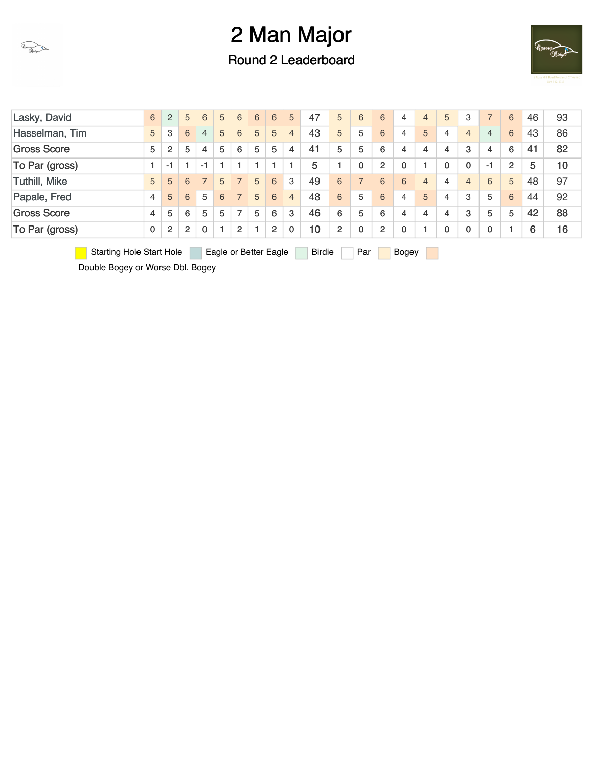

Round 2 Leaderboard



| Lasky, David         | 6           | $\overline{2}$ | 5                    | 6              | 5 | 6                        | 6 | 6              | 5              | 47    | 5              | 6            | 6              | 4            | $\overline{4}$ | 5            | 3              |                | 6              | 46 | 93 |
|----------------------|-------------|----------------|----------------------|----------------|---|--------------------------|---|----------------|----------------|-------|----------------|--------------|----------------|--------------|----------------|--------------|----------------|----------------|----------------|----|----|
| Hasselman, Tim       | 5           | 3              | 6                    | $\overline{4}$ | 5 | 6                        | 5 | 5              | 4              | 43    | 5              | 5            | 6              | 4            | 5              | 4            | $\overline{4}$ | $\overline{4}$ | 6              | 43 | 86 |
| <b>Gross Score</b>   | 5           | $\overline{2}$ | 5                    | 4              | 5 | 6                        | 5 | 5              | 4              | 41    | 5              | 5            | 6              | 4            | 4              | 4            | 3              | 4              | 6              | 41 | 82 |
| To Par (gross)       |             | $-1$           | $\blacktriangleleft$ | $-1$           |   |                          |   |                |                | 5     |                | 0            | $\overline{2}$ | $\mathbf 0$  |                | $\mathbf{0}$ | 0              | -1             | $\overline{2}$ | 5  | 10 |
| <b>Tuthill, Mike</b> | 5           | 5              | 6                    |                | 5 |                          | 5 | 6              | 3              | 49    | 6              |              | 6              | 6            | $\overline{4}$ | 4            | $\overline{4}$ | 6              | 5              | 48 | 97 |
| Papale, Fred         | 4           | 5              | 6                    | 5              | 6 | $\overline{\phantom{0}}$ | 5 | 6              | $\overline{4}$ | 48    | 6              | 5            | 6              | 4            | 5              | 4            | 3              | 5              | 6              | 44 | 92 |
| <b>Gross Score</b>   | 4           | 5              | 6                    | 5              | 5 | $\overline{7}$           | 5 | 6              | 3              | 46    | 6              | 5            | 6              | 4            | 4              | 4            | 3              | 5              | 5              | 42 | 88 |
| To Par (gross)       | $\mathbf 0$ | $\overline{2}$ | $\overline{2}$       | $\Omega$       |   | 2                        |   | $\overline{2}$ | $\mathbf{0}$   | 10    | $\overline{2}$ | $\mathbf{0}$ | $\overline{2}$ | $\mathbf{0}$ |                | $\mathbf 0$  | 0              | 0              |                | 6  | 16 |
|                      |             |                |                      | _____          |   |                          |   |                |                | - - - |                |              |                |              |                |              |                |                |                |    |    |

Starting Hole Start Hole Eagle or Better Eagle Birdie Par Bogey

Double Bogey or Worse Dbl. Bogey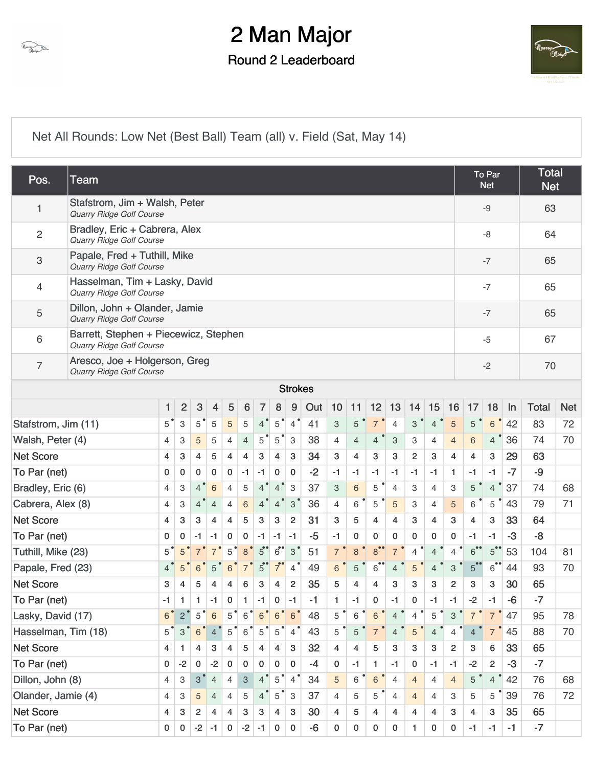

### Round 2 Leaderboard



[Net All Rounds: Low Net \(Best Ball\) Team \(all\) v. Field \(Sat, May 14\)](https://static.golfgenius.com/v2tournaments/8472333806920022895?called_from=&round_index=2)

| Pos.                | <b>Team</b>                                                              |               |                |                 |                |                |                           |                |                |                           |      |                |                |                 |                |                |                |                |                | To Par<br><b>Net</b> |      | <b>Total</b><br><b>Net</b> |            |  |
|---------------------|--------------------------------------------------------------------------|---------------|----------------|-----------------|----------------|----------------|---------------------------|----------------|----------------|---------------------------|------|----------------|----------------|-----------------|----------------|----------------|----------------|----------------|----------------|----------------------|------|----------------------------|------------|--|
| 1                   | Stafstrom, Jim + Walsh, Peter<br>Quarry Ridge Golf Course                |               |                |                 |                |                |                           |                |                |                           |      |                |                |                 |                |                |                |                |                | $-9$                 |      | 63                         |            |  |
| $\overline{c}$      | Bradley, Eric + Cabrera, Alex<br>Quarry Ridge Golf Course                |               |                |                 |                |                |                           |                |                |                           |      |                |                |                 |                |                |                |                |                | -8                   |      | 64                         |            |  |
| 3                   | Papale, Fred + Tuthill, Mike<br>Quarry Ridge Golf Course                 |               |                |                 |                |                |                           |                |                |                           |      |                |                |                 |                |                |                |                |                | $-7$                 |      | 65                         |            |  |
| 4                   | Hasselman, Tim + Lasky, David<br><b>Quarry Ridge Golf Course</b>         |               |                |                 |                |                |                           |                |                |                           |      |                |                |                 |                |                |                |                |                | $-7$                 |      | 65                         |            |  |
| 5                   | Dillon, John + Olander, Jamie<br>Quarry Ridge Golf Course                |               |                |                 |                |                |                           |                |                |                           |      |                |                |                 |                |                |                |                |                | $-7$                 | 65   |                            |            |  |
| 6                   | Barrett, Stephen + Piecewicz, Stephen<br><b>Quarry Ridge Golf Course</b> |               |                |                 |                |                |                           |                |                |                           |      |                |                |                 |                |                |                | $-5$           | 67             |                      |      |                            |            |  |
| $\overline{7}$      | Aresco, Joe + Holgerson, Greg<br><b>Quarry Ridge Golf Course</b>         |               |                |                 |                |                |                           |                |                |                           |      |                |                |                 |                |                | $-2$           |                | 70             |                      |      |                            |            |  |
| <b>Strokes</b>      |                                                                          |               |                |                 |                |                |                           |                |                |                           |      |                |                |                 |                |                |                |                |                |                      |      |                            |            |  |
|                     |                                                                          | 1             | $\overline{2}$ | 3               | 4              | 5              | 6                         | 7              | $\bf 8$        | 9                         | Out  | 10             | 11             | 12              | 13             | 14             | 15             | 16             | 17             | 18                   | In   | <b>Total</b>               | <b>Net</b> |  |
| Stafstrom, Jim (11) |                                                                          | $5^{\degree}$ | 3              | $5^{\circ}$     | 5              | 5              | 5                         | $4^{\degree}$  | 5              | $4^{\degree}$             | 41   | 3              | 5              | $\overline{7}$  | 4              | 3              | $\overline{4}$ | 5              | 5              | 6                    | 42   | 83                         | 72         |  |
| Walsh, Peter (4)    |                                                                          | 4             | 3              | 5               | 5              | $\overline{4}$ | $\overline{4}$            | $5^{\degree}$  | $5^{\degree}$  | $\ensuremath{\mathsf{3}}$ | 38   | $\overline{4}$ | $\overline{4}$ | 4               | 3              | 3              | 4              | $\overline{4}$ | 6              | $\overline{4}$       | 36   | 74                         | 70         |  |
| <b>Net Score</b>    |                                                                          | 4             | 3              | 4               | 5              | 4              | $\overline{4}$            | 3              | 4              | 3                         | 34   | 3              | 4              | 3               | 3              | $\overline{2}$ | 3              | $\overline{4}$ | 4              | 3                    | 29   | 63                         |            |  |
| To Par (net)        |                                                                          | 0             | 0              | 0               | 0              | 0              | $-1$                      | $-1$           | 0              | 0                         | $-2$ | $-1$           | $-1$           | -1              | $-1$           | -1             | -1             | 1              | -1             | $-1$                 | $-7$ | -9                         |            |  |
| Bradley, Eric (6)   |                                                                          | 4             | 3              | $\overline{4}$  | 6              | $\overline{4}$ | 5                         | $4^{\degree}$  | $4^{\degree}$  | 3                         | 37   | 3              | 6              | 5               | $\overline{4}$ | 3              | 4              | 3              | 5              | $\overline{4}$       | 37   | 74                         | 68         |  |
| Cabrera, Alex (8)   |                                                                          | 4             | 3              | $\overline{4}$  | $\overline{4}$ | $\overline{4}$ | $\,$ 6 $\,$               | $\overline{4}$ | 4              | $3^{\circ}$               | 36   | $\overline{4}$ | 6              | 5               | 5              | 3              | $\overline{4}$ | 5              | 6              | 5                    | 43   | 79                         | 71         |  |
| <b>Net Score</b>    |                                                                          | 4             | 3              | 3               | 4              | 4              | 5                         | 3              | 3              | $\overline{c}$            | 31   | 3              | 5              | 4               | 4              | 3              | 4              | 3              | 4              | 3                    | 33   | 64                         |            |  |
| To Par (net)        |                                                                          | 0             | 0              | $-1$            | $-1$           | 0              | 0                         | -1             | -1             | $-1$                      | $-5$ | $-1$           | 0              | 0               | 0              | 0              | 0              | 0              | -1             | $-1$                 | $-3$ | $-8$                       |            |  |
| Tuthill, Mike (23)  |                                                                          | $5^{\degree}$ | $5^{\degree}$  | $7^{\degree}$   | $\overline{7}$ | 5              | 8 <sup>°</sup>            | $5^{\circ}$    | $6$ °          | $3^{\circ}$               | 51   | 7 <sup>°</sup> | 8              | 8               | $\overline{7}$ | 4              | $\overline{4}$ | $\overline{4}$ | 6              | $5^{\bullet\bullet}$ | 53   | 104                        | 81         |  |
| Papale, Fred (23)   |                                                                          | 4             | 5              | 6               | 5              | 6              | $\overline{7}$            | $5^{\circ}$    | $7^{\bullet}$  | $4^{\degree}$             | 49   | 6              | 5              | $6$ <sup></sup> | 4              | 5              | 4              | 3              | $5^{\degree}$  | $6^{\bullet\bullet}$ | 44   | 93                         | 70         |  |
| <b>Net Score</b>    |                                                                          | 3             | 4              | 5               | 4              | 4              | 6                         | 3              | 4              | $\overline{2}$            | 35   | 5              | 4              | 4               | 3              | 3              | 3              | $\overline{2}$ | 3              | 3                    | 30   | 65                         |            |  |
| To Par (net)        |                                                                          | -1            | 1              | 1               | $-1$           | 0              | 1                         | $-1$           | 0              | $-1$                      | -1   | 1              | $-1$           | 0               | $-1$           | 0              | $-1$           | $-1$           | $-2$           | $-1$                 | -6   | -7                         |            |  |
| Lasky, David (17)   |                                                                          | $6^{\degree}$ | $2^{\bullet}$  | $\sqrt{5}$      | 6              | 5              | $\,6$                     | 6              | $6\phantom{a}$ | 6 <sup>°</sup>            | 48   | 5              | 6              | 6               | $\overline{4}$ | 4              | 5              | 3              | $\overline{7}$ | $\overline{7}$       | 47   | 95                         | 78         |  |
| Hasselman, Tim (18) |                                                                          | $5^{\degree}$ | 3              | $6\phantom{1}6$ | $\overline{4}$ | 5              | 6 <sup>°</sup>            | 5              | $5^{\degree}$  | $4^{\degree}$             | 43   | 5              | 5              |                 | $\overline{4}$ | 5              | $\overline{4}$ | 4              | $\overline{4}$ | $\overline{7}$       | 45   | 88                         | 70         |  |
| <b>Net Score</b>    |                                                                          | 4             | 1              | 4               | 3              | 4              | 5                         | 4              | 4              | 3                         | 32   | 4              | 4              | 5               | 3              | 3              | 3              | $\overline{2}$ | 3              | 6                    | 33   | 65                         |            |  |
| To Par (net)        |                                                                          | 0             | $-2$           | $\mathbf{0}$    | $-2$           | 0              | 0                         | 0              | 0              | 0                         | $-4$ | 0              | -1             | 1.              | -1             | 0              | $-1$           | $-1$           | $-2$           | $\overline{2}$       | $-3$ | $-7$                       |            |  |
| Dillon, John (8)    |                                                                          | 4             | 3              | $\mathbf{3}$    | $\overline{4}$ | 4              | $\ensuremath{\mathsf{3}}$ | $4^{\degree}$  | $\sqrt{5}$     | $4^{\degree}$             | 34   | 5              | 6              | $\,6\,$         | $\overline{4}$ | $\overline{4}$ | 4              | $\overline{4}$ | 5              | $\overline{4}$       | 42   | 76                         | 68         |  |
| Olander, Jamie (4)  |                                                                          | 4             | 3              | 5               | $\overline{4}$ | 4              | 5                         | $4^{\circ}$    | $5^{\degree}$  | 3                         | 37   | $\overline{4}$ | 5              | 5               | $\overline{4}$ | $\overline{4}$ | 4              | 3              | 5              | 5                    | 39   | 76                         | 72         |  |
| <b>Net Score</b>    | 4                                                                        | 3             | $\overline{2}$ | 4               | 4              | 3              | 3                         | $\overline{4}$ | 3              | 30                        | 4    | 5              | 4              | 4               | 4              | 4              | 3              | 4              | 3              | 35                   | 65   |                            |            |  |
| To Par (net)        |                                                                          | 0             | 0              | $-2$            | -1             | 0              | $-2$                      | -1             | 0              | 0                         | $-6$ | 0              | $\mathbf 0$    | 0               | 0              | $\mathbf{1}$   | $\mathbf 0$    | $\mathbf 0$    | $-1$           | $-1$                 | $-1$ | $-7$                       |            |  |